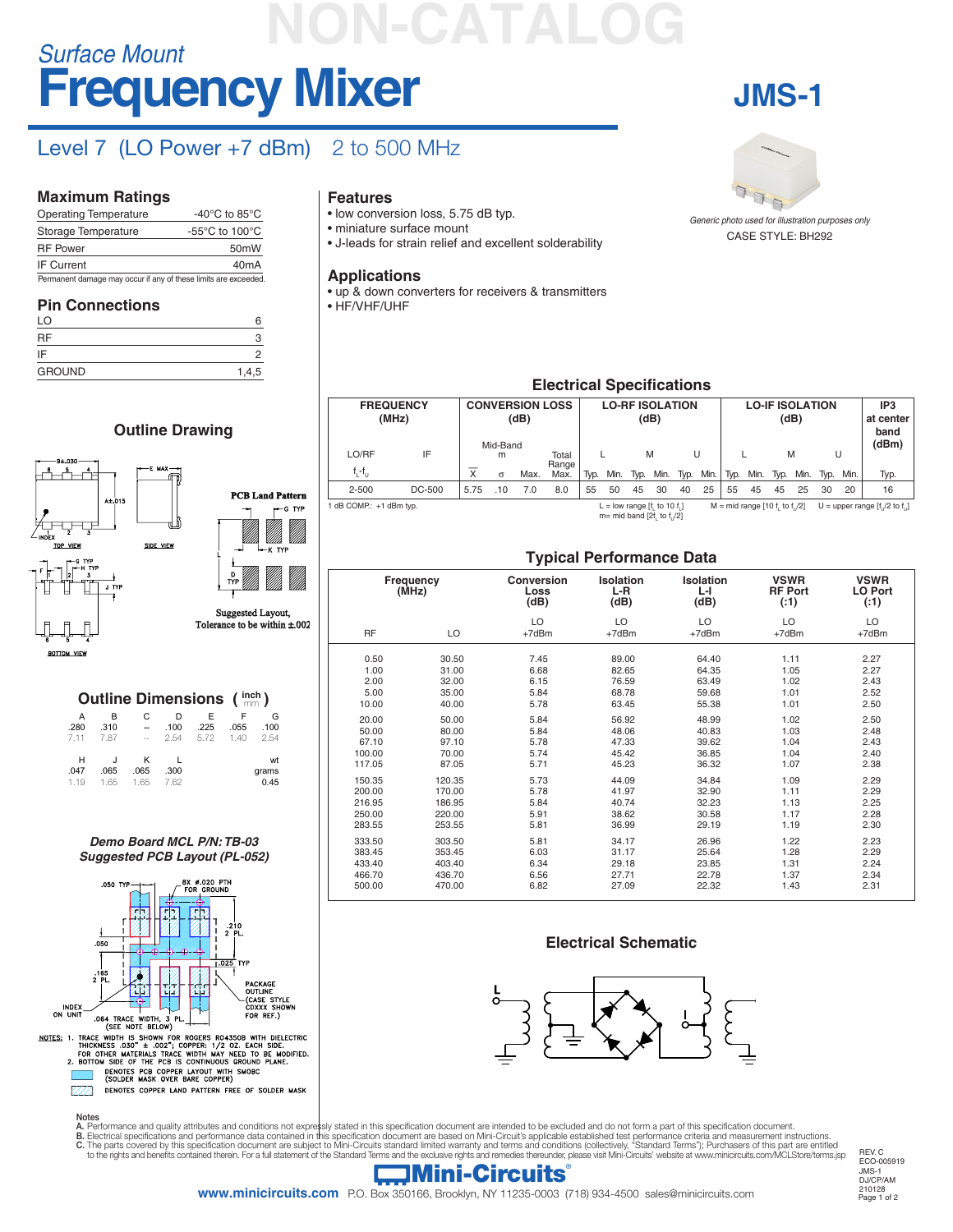## **Frequency Mixer** *Surface Mount* **NON-CATALOG**

### Level 7 (LO Power +7 dBm) 2 to 500 MHz

**PCB Land Pattern**

-G TYP

Suggested Layout,  $\frac{1}{2}$  to be within  $\pm 002$ 

(CASE ST)<br>CDXXX SH

FOR REE.

#### **Maximum Ratings**

| <b>Operating Temperature</b>                                    | -40 $^{\circ}$ C to 85 $^{\circ}$ C                  |
|-----------------------------------------------------------------|------------------------------------------------------|
| Storage Temperature                                             | -55 $\mathrm{^{\circ}C}$ to 100 $\mathrm{^{\circ}C}$ |
| <b>RF Power</b>                                                 | 50 <sub>m</sub> W                                    |
| <b>IF Current</b>                                               | 40 <sub>m</sub> A                                    |
| Permanent damage may occur if any of these limits are exceeded. |                                                      |

#### **Pin Connections**

| .<br>- -<br>LO |       |
|----------------|-------|
| <b>RF</b>      |       |
| IF             |       |
| <b>GROUND</b>  | 1,4,5 |

**Outline Drawing**

*Demo Board MCL P/N: TB-03 Suggested PCB Layout (PL-052)*

NOTES: 1. TRACE WIDTH IS SHOWN FOR ROGERS RO4350B WITH DIELECTRIC<br>THICKNESS .030<sup>-+</sup> 1.002<sup>9</sup>; COPPER: 1/2 02. EACH SIDE.<br>FOR OTHER MATERIALS TRACE WIDTH MAY NEED TO BE MODIFIED.<br>2. BOTTOM SIDE OF THE PCB IS CONTINUOUS GRO

DENOTES COPPER LAND PATTERN FREE OF SOLDER MASK

INDEX<br>ON UNIT

 $\mathbb{Z}\mathbb{Z}$ 

.064 TRACE WIDTH, 3<br>(SEE NOTE BELOW)

**Outline Dimensions (**  $\text{imen}$ **)** 

A B C D E F G .280 .310 -- .100 .225 .055 .100 7.11 7.87 -- 2.54 5.72 1.40 2.54 H J K L wt .047 .065 .065 .300 grams<br>1.19 1.65 1.65 7.62 0.45 1.19 1.65 1.65 7.62 0.45

#### **Features**

- low conversion loss, 5.75 dB typ.
- miniature surface mount
- J-leads for strain relief and excellent solderability

#### **Applications**

• up & down converters for receivers & transmitters

• HF/VHF/UHF

## **JMS-1**



CASE STYLE: BH292 *Generic photo used for illustration purposes only*

#### **Electrical Specifications**

| <b>FREQUENCY</b><br>LO/RF | (MHz)<br>IF | <b>CONVERSION LOSS</b><br>(dB)<br>Mid-Band<br>Total<br>m |          |      | <b>LO-RF ISOLATION</b><br>(dB)<br>M<br>U |      |      |      |                                                            | <b>LO-IF ISOLATION</b><br>(dB)<br>M<br>U |      |      |                                 |      | IP3<br>at center<br>band<br>(dBm) |    |           |                                    |
|---------------------------|-------------|----------------------------------------------------------|----------|------|------------------------------------------|------|------|------|------------------------------------------------------------|------------------------------------------|------|------|---------------------------------|------|-----------------------------------|----|-----------|------------------------------------|
| $f_1 - f_{11}$            |             | X                                                        | $\sigma$ | Max. | Range<br>Max.                            | Typ. | Min. | Typ. | Min.                                                       | Typ.                                     | Min. | Typ. | Min.                            | Typ. | Min.                              |    | Typ. Min. | Typ.                               |
| $2 - 500$                 | DC-500      | 5.75                                                     | .10      | 7.0  | 8.0                                      | 55   | 50   | 45   | 30                                                         | 40                                       | 25   | 55   | 45                              | 45   | 25                                | 30 | 20        | 16                                 |
| 1 dB COMP.: +1 dBm typ.   |             |                                                          |          |      |                                          |      |      |      | L = low range [f, to 10 f,]<br>$m= mid band [2f, to f]/2]$ |                                          |      |      | $M = mid range [10 f, to f]/2]$ |      |                                   |    |           | U = upper range $[f, 2$ to $f, 1]$ |

#### **Typical Performance Data**

|                                                                                                  | Frequency<br>(MHz)                                                                               | <b>Conversion</b><br>Loss<br>(dB)                                            | <b>Isolation</b><br>L-R<br>(dB)                                                        | <b>Isolation</b><br>ĿГ<br>(dB)                                                         | <b>VSWR</b><br><b>RF Port</b><br>(:1)                                        | <b>VSWR</b><br><b>LO Port</b><br>( : 1)                                      |  |  |
|--------------------------------------------------------------------------------------------------|--------------------------------------------------------------------------------------------------|------------------------------------------------------------------------------|----------------------------------------------------------------------------------------|----------------------------------------------------------------------------------------|------------------------------------------------------------------------------|------------------------------------------------------------------------------|--|--|
| <b>RF</b>                                                                                        | LO                                                                                               | LO<br>$+7dBr$                                                                | LO<br>+7dBm                                                                            | LO<br>$+7dBr$                                                                          | LO<br>+7dBm                                                                  | LO<br>$+7dBr$                                                                |  |  |
| 0.50<br>1.00<br>2.00<br>5.00<br>10.00<br>20.00<br>50.00<br>67.10<br>100.00<br>117.05             | 30.50<br>31.00<br>32.00<br>35.00<br>40.00<br>50.00<br>80.00<br>97.10<br>70.00<br>87.05           | 7.45<br>6.68<br>6.15<br>5.84<br>5.78<br>5.84<br>5.84<br>5.78<br>5.74<br>5.71 | 89.00<br>82.65<br>76.59<br>68.78<br>63.45<br>56.92<br>48.06<br>47.33<br>45.42<br>45.23 | 64.40<br>64.35<br>63.49<br>59.68<br>55.38<br>48.99<br>40.83<br>39.62<br>36.85<br>36.32 | 1.11<br>1.05<br>1.02<br>1.01<br>1.01<br>1.02<br>1.03<br>1.04<br>1.04<br>1.07 | 2.27<br>2.27<br>2.43<br>2.52<br>2.50<br>2.50<br>2.48<br>2.43<br>2.40<br>2.38 |  |  |
| 150.35<br>200.00<br>216.95<br>250.00<br>283.55<br>333.50<br>383.45<br>433.40<br>466.70<br>500.00 | 120.35<br>170.00<br>186.95<br>220.00<br>253.55<br>303.50<br>353.45<br>403.40<br>436.70<br>470.00 | 5.73<br>5.78<br>5.84<br>5.91<br>5.81<br>5.81<br>6.03<br>6.34<br>6.56<br>6.82 | 44.09<br>41.97<br>40.74<br>38.62<br>36.99<br>34.17<br>31.17<br>29.18<br>27.71<br>27.09 | 34.84<br>32.90<br>32.23<br>30.58<br>29.19<br>26.96<br>25.64<br>23.85<br>22.78<br>22.32 | 1.09<br>1.11<br>1.13<br>1.17<br>1.19<br>1.22<br>1.28<br>1.31<br>1.37<br>1.43 | 2.29<br>2.29<br>2.25<br>2.28<br>2.30<br>2.23<br>2.29<br>2.24<br>2.34<br>2.31 |  |  |

#### **Electrical Schematic**



Notes

- 
- A. Performance and quality attributes and conditions not expressly stated in this specification document are intended to be excluded and do not form a part of this specification document.<br>B. Electrical specifications and p

REV. C ECO-005919 JMS-1 DJ/CP/AM 210128<br>Page 1 of 2

#### **Mini-Circuits**